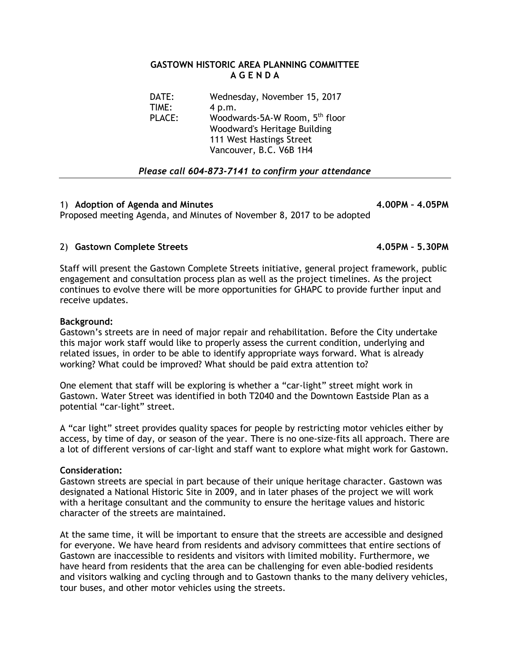## **GASTOWN HISTORIC AREA PLANNING COMMITTEE A G E N D A**

| DATE:         | Wednesday, November 15, 2017               |
|---------------|--------------------------------------------|
| TIME:         | 4 p.m.                                     |
| <b>PLACE:</b> | Woodwards-5A-W Room, 5 <sup>th</sup> floor |
|               | Woodward's Heritage Building               |
|               | 111 West Hastings Street                   |
|               | Vancouver, B.C. V6B 1H4                    |
|               |                                            |

## *Please call 604-873-7141 to confirm your attendance*

## 1) **Adoption of Agenda and Minutes 4.00PM – 4.05PM**

Proposed meeting Agenda, and Minutes of November 8, 2017 to be adopted

2) Gastown Complete Streets **4.05PM -** 5.30PM

Staff will present the Gastown Complete Streets initiative, general project framework, public engagement and consultation process plan as well as the project timelines. As the project continues to evolve there will be more opportunities for GHAPC to provide further input and receive updates.

## **Background:**

Gastown's streets are in need of major repair and rehabilitation. Before the City undertake this major work staff would like to properly assess the current condition, underlying and related issues, in order to be able to identify appropriate ways forward. What is already working? What could be improved? What should be paid extra attention to?

One element that staff will be exploring is whether a "car-light" street might work in Gastown. Water Street was identified in both T2040 and the Downtown Eastside Plan as a potential "car-light" street.

A "car light" street provides quality spaces for people by restricting motor vehicles either by access, by time of day, or season of the year. There is no one-size-fits all approach. There are a lot of different versions of car-light and staff want to explore what might work for Gastown.

#### **Consideration:**

Gastown streets are special in part because of their unique heritage character. Gastown was designated a National Historic Site in 2009, and in later phases of the project we will work with a heritage consultant and the community to ensure the heritage values and historic character of the streets are maintained.

At the same time, it will be important to ensure that the streets are accessible and designed for everyone. We have heard from residents and advisory committees that entire sections of Gastown are inaccessible to residents and visitors with limited mobility. Furthermore, we have heard from residents that the area can be challenging for even able-bodied residents and visitors walking and cycling through and to Gastown thanks to the many delivery vehicles, tour buses, and other motor vehicles using the streets.